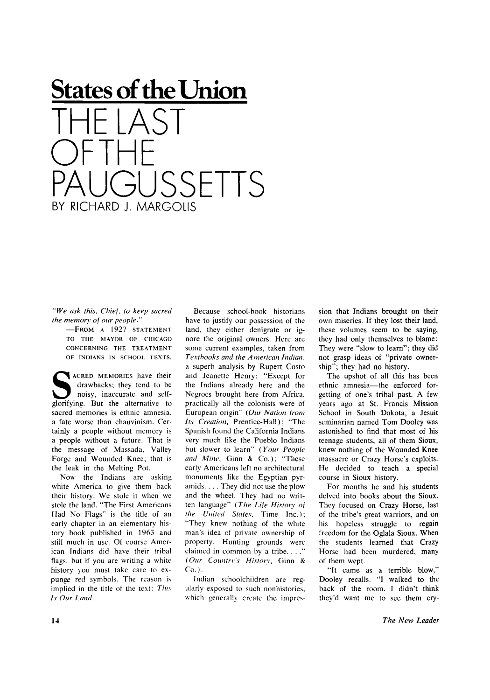## **States of the Union**   $\vert \Delta \zeta \vert$ OF I HE JSSETTS BY RICHARD J. MARGOLIS

*"We ask this. Chief, to keep sacred the memory of our people"* 

> -FROM A 1927 STATEMENT TO THE MAYOR OF CHICAGO CONCERNING THE TREATMENT OF INDIANS IN SCHOOL TEXTS.

**S** glorifying. But the alternative to **ACRED MEMORIES have their** drawbacks; they tend to be noisy, inaccurate and selfsacred memories is ethnic amnesia, a fate worse than chauvinism. Certainly a people without memory is a people without a future. That is the message of Massada, Valley Forge and Wounded Knee; that is the leak in the Melting Pot.

Now the Indians are asking white America to give them back their history. We stole it when we stole the land. "The First Americans Had No Flags" is the title of an early chapter in an elementary history book published in 1963 and still much in use. Of course American Indians did have their tribal flags, but if you are writing a white history you must take care to expunge red symbols. The reason is implied in the title of the text: *This Is Our Land.* 

Because school-book historians have to justify our possession of the land, they either denigrate or ignore the original owners. Here are some current examples, taken from *Textbooks and the American Indian,*  a superb analysis by Rupert Costo and Jeanette Henry: "Except for the Indians already here and the Negroes brought here from Africa, practically all the colonists were of European origin" *(Our Nation from Its Creation,* Prentice-Hall); "The Spanish found the California Indians very much like the Pueblo Indians but slower to learn" *(Your People and Mine.* Ginn & Co.); "These early Americans left no architectural monuments like the Egyptian pyramids. . . . They did not use the plow and the wheel. They had no written language" *(The Life History of the United States,* Time Inc.); "They knew nothing of the white man's idea of private ownership of property. Hunting grounds were claimed in common by a tribe. . . ." *(Our Country's History,* Ginn &  $Co.$ ).

Indian schoolchildren are regularly exposed to such nonhistories, which generally create the impres-

sion that Indians brought on their own miseries. If they lost their land, these volumes seem to be saying, they had only themselves to blame: They were "slow to learn"; they did not grasp ideas of "private ownership"; they had no history.

The upshot of all this has been ethnic amnesia—the enforced forgetting of one's tribal past. A few years ago at St. Francis Mission School in South Dakota, a Jesuit seminarian named Tom Dooley was astonished to find that most of his teenage students, all of them Sioux, knew nothing of the Wounded Knee massacre or Crazy Horse's exploits. He decided to teach a special course in Sioux history.

For months he and his students delved into books about the Sioux. They focused on Crazy Horse, last of the tribe's great warriors, and on his hopeless struggle to regain freedom for the Oglala Sioux. When the students learned that Crazy Horse had been murdered, many of them wept.

"It came as a terrible blow," Dooley recalls. "I walked to the back of the room. I didn't think they'd want me to see them cry